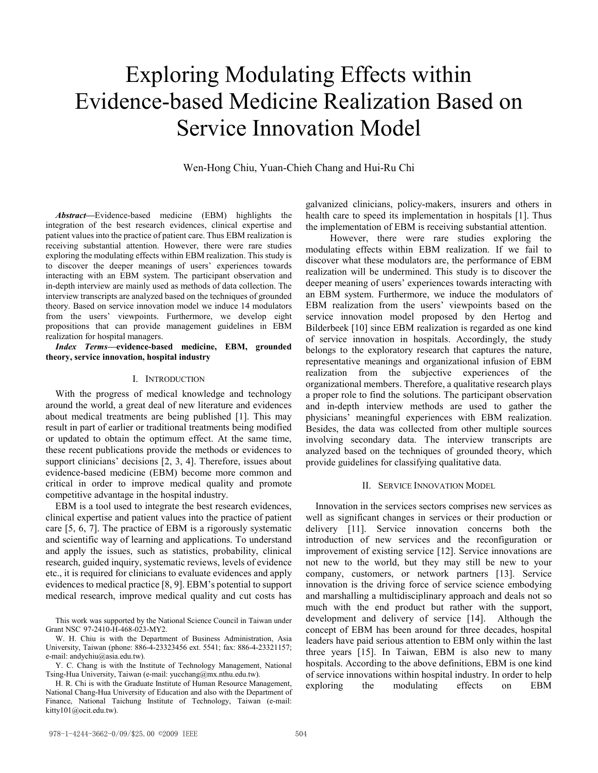# Exploring Modulating Effects within Evidence-based Medicine Realization Based on Service Innovation Model

Wen-Hong Chiu, Yuan-Chieh Chang and Hui-Ru Chi

*Abstract***—**Evidence-based medicine (EBM) highlights the integration of the best research evidences, clinical expertise and patient values into the practice of patient care. Thus EBM realization is receiving substantial attention. However, there were rare studies exploring the modulating effects within EBM realization. This study is to discover the deeper meanings of users' experiences towards interacting with an EBM system. The participant observation and in-depth interview are mainly used as methods of data collection. The interview transcripts are analyzed based on the techniques of grounded theory. Based on service innovation model we induce 14 modulators from the users' viewpoints. Furthermore, we develop eight propositions that can provide management guidelines in EBM realization for hospital managers.

*Index Terms***—evidence-based medicine, EBM, grounded theory, service innovation, hospital industry** 

## I. INTRODUCTION

With the progress of medical knowledge and technology around the world, a great deal of new literature and evidences about medical treatments are being published [1]. This may result in part of earlier or traditional treatments being modified or updated to obtain the optimum effect. At the same time, these recent publications provide the methods or evidences to support clinicians' decisions [2, 3, 4]. Therefore, issues about evidence-based medicine (EBM) become more common and critical in order to improve medical quality and promote competitive advantage in the hospital industry.

EBM is a tool used to integrate the best research evidences, clinical expertise and patient values into the practice of patient care [5, 6, 7]. The practice of EBM is a rigorously systematic and scientific way of learning and applications. To understand and apply the issues, such as statistics, probability, clinical research, guided inquiry, systematic reviews, levels of evidence etc., it is required for clinicians to evaluate evidences and apply evidences to medical practice [8, 9]. EBM's potential to support medical research, improve medical quality and cut costs has

W. H. Chiu is with the Department of Business Administration, Asia University, Taiwan (phone: 886-4-23323456 ext. 5541; fax: 886-4-23321157; e-mail: andychiu@asia.edu.tw).

galvanized clinicians, policy-makers, insurers and others in health care to speed its implementation in hospitals [1]. Thus the implementation of EBM is receiving substantial attention.

However, there were rare studies exploring the modulating effects within EBM realization. If we fail to discover what these modulators are, the performance of EBM realization will be undermined. This study is to discover the deeper meaning of users' experiences towards interacting with an EBM system. Furthermore, we induce the modulators of EBM realization from the users' viewpoints based on the service innovation model proposed by den Hertog and Bilderbeek [10] since EBM realization is regarded as one kind of service innovation in hospitals. Accordingly, the study belongs to the exploratory research that captures the nature, representative meanings and organizational infusion of EBM realization from the subjective experiences of the organizational members. Therefore, a qualitative research plays a proper role to find the solutions. The participant observation and in-depth interview methods are used to gather the physicians' meaningful experiences with EBM realization. Besides, the data was collected from other multiple sources involving secondary data. The interview transcripts are analyzed based on the techniques of grounded theory, which provide guidelines for classifying qualitative data.

## II. SERVICE INNOVATION MODEL

Innovation in the services sectors comprises new services as well as significant changes in services or their production or delivery [11]. Service innovation concerns both the introduction of new services and the reconfiguration or improvement of existing service [12]. Service innovations are not new to the world, but they may still be new to your company, customers, or network partners [13]. Service innovation is the driving force of service science embodying and marshalling a multidisciplinary approach and deals not so much with the end product but rather with the support, development and delivery of service [14]. Although the concept of EBM has been around for three decades, hospital leaders have paid serious attention to EBM only within the last three years [15]. In Taiwan, EBM is also new to many hospitals. According to the above definitions, EBM is one kind of service innovations within hospital industry. In order to help exploring the modulating effects on EBM

This work was supported by the National Science Council in Taiwan under Grant NSC 97-2410-H-468-023-MY2.

Y. C. Chang is with the Institute of Technology Management, National Tsing-Hua University, Taiwan (e-mail: yucchang@mx.nthu.edu.tw).

H. R. Chi is with the Graduate Institute of Human Resource Management, National Chang-Hua University of Education and also with the Department of Finance, National Taichung Institute of Technology, Taiwan (e-mail: kitty101@ocit.edu.tw).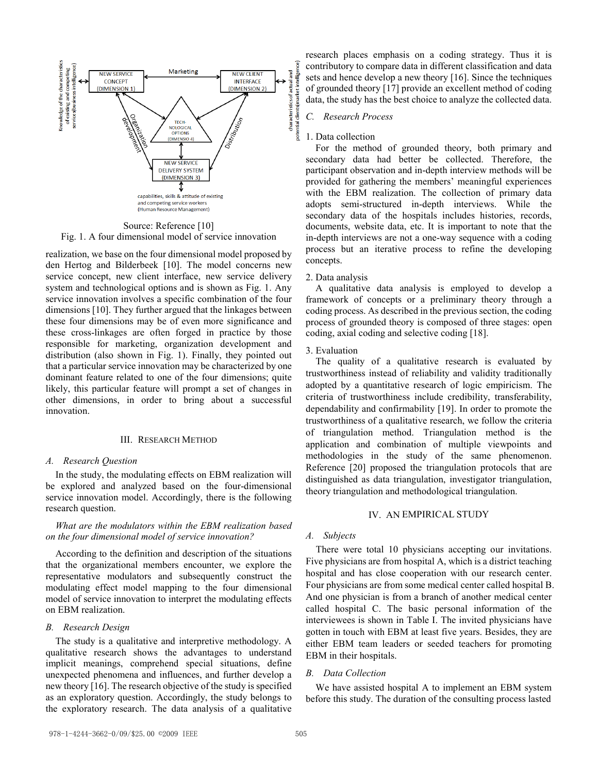

Source: Reference [10] Fig. 1. A four dimensional model of service innovation

realization, we base on the four dimensional model proposed by den Hertog and Bilderbeek [10]. The model concerns new service concept, new client interface, new service delivery system and technological options and is shown as Fig. 1. Any service innovation involves a specific combination of the four dimensions [10]. They further argued that the linkages between these four dimensions may be of even more significance and these cross-linkages are often forged in practice by those responsible for marketing, organization development and distribution (also shown in Fig. 1). Finally, they pointed out that a particular service innovation may be characterized by one dominant feature related to one of the four dimensions; quite likely, this particular feature will prompt a set of changes in other dimensions, in order to bring about a successful innovation.

#### III. RESEARCH METHOD

## *A. Research Question*

In the study, the modulating effects on EBM realization will be explored and analyzed based on the four-dimensional service innovation model. Accordingly, there is the following research question.

# *What are the modulators within the EBM realization based on the four dimensional model of service innovation?*

According to the definition and description of the situations that the organizational members encounter, we explore the representative modulators and subsequently construct the modulating effect model mapping to the four dimensional model of service innovation to interpret the modulating effects on EBM realization.

# *B. Research Design*

The study is a qualitative and interpretive methodology. A qualitative research shows the advantages to understand implicit meanings, comprehend special situations, define unexpected phenomena and influences, and further develop a new theory [16]. The research objective of the study is specified as an exploratory question. Accordingly, the study belongs to the exploratory research. The data analysis of a qualitative

research places emphasis on a coding strategy. Thus it is contributory to compare data in different classification and data sets and hence develop a new theory [16]. Since the techniques of grounded theory [17] provide an excellent method of coding data, the study has the best choice to analyze the collected data.

# *C. Research Process*

### 1. Data collection

For the method of grounded theory, both primary and secondary data had better be collected. Therefore, the participant observation and in-depth interview methods will be provided for gathering the members' meaningful experiences with the EBM realization. The collection of primary data adopts semi-structured in-depth interviews. While the secondary data of the hospitals includes histories, records, documents, website data, etc. It is important to note that the in-depth interviews are not a one-way sequence with a coding process but an iterative process to refine the developing concepts.

#### 2. Data analysis

A qualitative data analysis is employed to develop a framework of concepts or a preliminary theory through a coding process. As described in the previous section, the coding process of grounded theory is composed of three stages: open coding, axial coding and selective coding [18].

### 3. Evaluation

The quality of a qualitative research is evaluated by trustworthiness instead of reliability and validity traditionally adopted by a quantitative research of logic empiricism. The criteria of trustworthiness include credibility, transferability, dependability and confirmability [19]. In order to promote the trustworthiness of a qualitative research, we follow the criteria of triangulation method. Triangulation method is the application and combination of multiple viewpoints and methodologies in the study of the same phenomenon. Reference [20] proposed the triangulation protocols that are distinguished as data triangulation, investigator triangulation, theory triangulation and methodological triangulation.

## IV. AN EMPIRICAL STUDY

## *A. Subjects*

There were total 10 physicians accepting our invitations. Five physicians are from hospital A, which is a district teaching hospital and has close cooperation with our research center. Four physicians are from some medical center called hospital B. And one physician is from a branch of another medical center called hospital C. The basic personal information of the interviewees is shown in Table I. The invited physicians have gotten in touch with EBM at least five years. Besides, they are either EBM team leaders or seeded teachers for promoting EBM in their hospitals.

#### *B. Data Collection*

We have assisted hospital A to implement an EBM system before this study. The duration of the consulting process lasted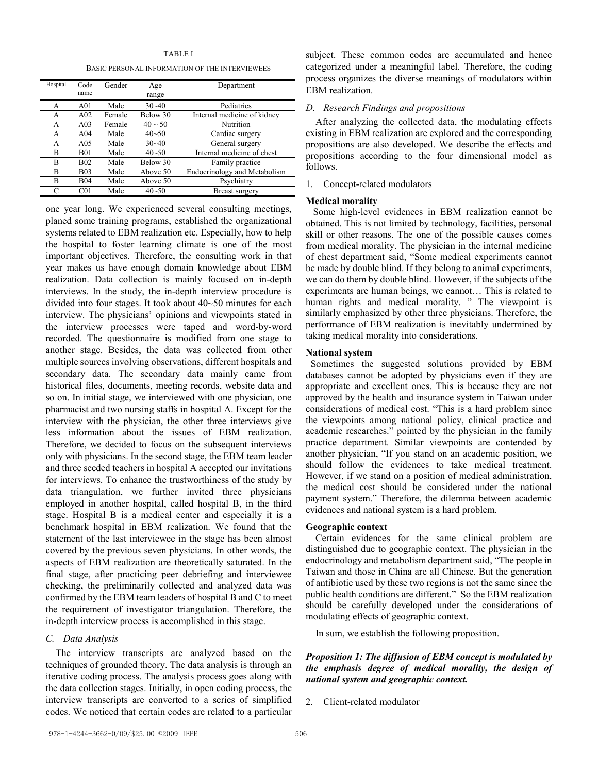## TABLE I

BASIC PERSONAL INFORMATION OF THE INTERVIEWEES

| Hospital | Code<br>name    | Gender | Age<br>range | Department                          |
|----------|-----------------|--------|--------------|-------------------------------------|
| A        | A <sub>01</sub> | Male   | $30 - 40$    | Pediatrics                          |
| А        | A <sub>02</sub> | Female | Below 30     | Internal medicine of kidney         |
| А        | A <sub>03</sub> | Female | $40 \sim 50$ | Nutrition                           |
| А        | A <sub>04</sub> | Male   | $40 - 50$    | Cardiac surgery                     |
| А        | A05             | Male   | $30 - 40$    | General surgery                     |
| B        | <b>B01</b>      | Male   | $40 - 50$    | Internal medicine of chest          |
| R        | <b>B02</b>      | Male   | Below 30     | Family practice                     |
| R        | <b>B03</b>      | Male   | Above 50     | <b>Endocrinology and Metabolism</b> |
| B        | <b>B04</b>      | Male   | Above 50     | Psychiatry                          |
| C        | C01             | Male   | $40 - 50$    | Breast surgery                      |
|          |                 |        |              |                                     |

one year long. We experienced several consulting meetings, planed some training programs, established the organizational systems related to EBM realization etc. Especially, how to help the hospital to foster learning climate is one of the most important objectives. Therefore, the consulting work in that year makes us have enough domain knowledge about EBM realization. Data collection is mainly focused on in-depth interviews. In the study, the in-depth interview procedure is divided into four stages. It took about 40~50 minutes for each interview. The physicians' opinions and viewpoints stated in the interview processes were taped and word-by-word recorded. The questionnaire is modified from one stage to another stage. Besides, the data was collected from other multiple sources involving observations, different hospitals and secondary data. The secondary data mainly came from historical files, documents, meeting records, website data and so on. In initial stage, we interviewed with one physician, one pharmacist and two nursing staffs in hospital A. Except for the interview with the physician, the other three interviews give less information about the issues of EBM realization. Therefore, we decided to focus on the subsequent interviews only with physicians. In the second stage, the EBM team leader and three seeded teachers in hospital A accepted our invitations for interviews. To enhance the trustworthiness of the study by data triangulation, we further invited three physicians employed in another hospital, called hospital B, in the third stage. Hospital B is a medical center and especially it is a benchmark hospital in EBM realization. We found that the statement of the last interviewee in the stage has been almost covered by the previous seven physicians. In other words, the aspects of EBM realization are theoretically saturated. In the final stage, after practicing peer debriefing and interviewee checking, the preliminarily collected and analyzed data was confirmed by the EBM team leaders of hospital B and C to meet the requirement of investigator triangulation. Therefore, the in-depth interview process is accomplished in this stage.

## *C. Data Analysis*

The interview transcripts are analyzed based on the techniques of grounded theory. The data analysis is through an iterative coding process. The analysis process goes along with the data collection stages. Initially, in open coding process, the interview transcripts are converted to a series of simplified codes. We noticed that certain codes are related to a particular subject. These common codes are accumulated and hence categorized under a meaningful label. Therefore, the coding process organizes the diverse meanings of modulators within EBM realization.

# *D. Research Findings and propositions*

After analyzing the collected data, the modulating effects existing in EBM realization are explored and the corresponding propositions are also developed. We describe the effects and propositions according to the four dimensional model as follows.

# 1. Concept-related modulators

# **Medical morality**

 Some high-level evidences in EBM realization cannot be obtained. This is not limited by technology, facilities, personal skill or other reasons. The one of the possible causes comes from medical morality. The physician in the internal medicine of chest department said, "Some medical experiments cannot be made by double blind. If they belong to animal experiments, we can do them by double blind. However, if the subjects of the experiments are human beings, we cannot… This is related to human rights and medical morality. " The viewpoint is similarly emphasized by other three physicians. Therefore, the performance of EBM realization is inevitably undermined by taking medical morality into considerations.

## **National system**

 Sometimes the suggested solutions provided by EBM databases cannot be adopted by physicians even if they are appropriate and excellent ones. This is because they are not approved by the health and insurance system in Taiwan under considerations of medical cost. "This is a hard problem since the viewpoints among national policy, clinical practice and academic researches." pointed by the physician in the family practice department. Similar viewpoints are contended by another physician, "If you stand on an academic position, we should follow the evidences to take medical treatment. However, if we stand on a position of medical administration, the medical cost should be considered under the national payment system." Therefore, the dilemma between academic evidences and national system is a hard problem.

## **Geographic context**

Certain evidences for the same clinical problem are distinguished due to geographic context. The physician in the endocrinology and metabolism department said, "The people in Taiwan and those in China are all Chinese. But the generation of antibiotic used by these two regions is not the same since the public health conditions are different." So the EBM realization should be carefully developed under the considerations of modulating effects of geographic context.

In sum, we establish the following proposition.

# *Proposition 1: The diffusion of EBM concept is modulated by the emphasis degree of medical morality, the design of national system and geographic context.*

2. Client-related modulator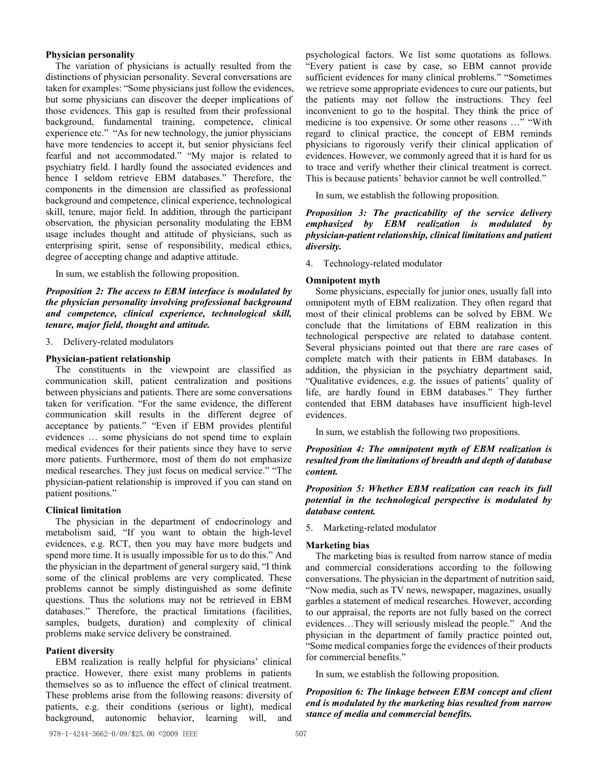# **Physician personality**

The variation of physicians is actually resulted from the distinctions of physician personality. Several conversations are taken for examples: "Some physicians just follow the evidences, but some physicians can discover the deeper implications of those evidences. This gap is resulted from their professional background, fundamental training, competence, clinical experience etc." "As for new technology, the junior physicians have more tendencies to accept it, but senior physicians feel fearful and not accommodated." "My major is related to psychiatry field. I hardly found the associated evidences and hence I seldom retrieve EBM databases." Therefore, the components in the dimension are classified as professional background and competence, clinical experience, technological skill, tenure, major field. In addition, through the participant observation, the physician personality modulating the EBM usage includes thought and attitude of physicians, such as enterprising spirit, sense of responsibility, medical ethics, degree of accepting change and adaptive attitude.

In sum, we establish the following proposition.

*Proposition 2: The access to EBM interface is modulated by the physician personality involving professional background and competence, clinical experience, technological skill, tenure, major field, thought and attitude.*

## 3. Delivery-related modulators

# **Physician-patient relationship**

The constituents in the viewpoint are classified as communication skill, patient centralization and positions between physicians and patients. There are some conversations taken for verification. "For the same evidence, the different communication skill results in the different degree of acceptance by patients." "Even if EBM provides plentiful evidences … some physicians do not spend time to explain medical evidences for their patients since they have to serve more patients. Furthermore, most of them do not emphasize medical researches. They just focus on medical service." "The physician-patient relationship is improved if you can stand on patient positions."

# **Clinical limitation**

The physician in the department of endocrinology and metabolism said, "If you want to obtain the high-level evidences, e.g. RCT, then you may have more budgets and spend more time. It is usually impossible for us to do this." And the physician in the department of general surgery said, "I think some of the clinical problems are very complicated. These problems cannot be simply distinguished as some definite questions. Thus the solutions may not be retrieved in EBM databases." Therefore, the practical limitations (facilities, samples, budgets, duration) and complexity of clinical problems make service delivery be constrained.

## **Patient diversity**

EBM realization is really helpful for physicians' clinical practice. However, there exist many problems in patients themselves so as to influence the effect of clinical treatment. These problems arise from the following reasons: diversity of patients, e.g. their conditions (serious or light), medical background, autonomic behavior, learning will, and

psychological factors. We list some quotations as follows. "Every patient is case by case, so EBM cannot provide sufficient evidences for many clinical problems." "Sometimes we retrieve some appropriate evidences to cure our patients, but the patients may not follow the instructions. They feel inconvenient to go to the hospital. They think the price of medicine is too expensive. Or some other reasons …" "With regard to clinical practice, the concept of EBM reminds physicians to rigorously verify their clinical application of evidences. However, we commonly agreed that it is hard for us to trace and verify whether their clinical treatment is correct. This is because patients' behavior cannot be well controlled."

In sum, we establish the following proposition.

*Proposition 3: The practicability of the service delivery emphasized by EBM realization is modulated by physician-patient relationship, clinical limitations and patient diversity.*

4. Technology-related modulator

#### **Omnipotent myth**

Some physicians, especially for junior ones, usually fall into omnipotent myth of EBM realization. They often regard that most of their clinical problems can be solved by EBM. We conclude that the limitations of EBM realization in this technological perspective are related to database content. Several physicians pointed out that there are rare cases of complete match with their patients in EBM databases. In addition, the physician in the psychiatry department said, "Qualitative evidences, e.g. the issues of patients' quality of life, are hardly found in EBM databases." They further contended that EBM databases have insufficient high-level evidences.

In sum, we establish the following two propositions.

*Proposition 4: The omnipotent myth of EBM realization is resulted from the limitations of breadth and depth of database content.* 

*Proposition 5: Whether EBM realization can reach its full potential in the technological perspective is modulated by database content.* 

5. Marketing-related modulator

## **Marketing bias**

The marketing bias is resulted from narrow stance of media and commercial considerations according to the following conversations. The physician in the department of nutrition said, "Now media, such as TV news, newspaper, magazines, usually garbles a statement of medical researches. However, according to our appraisal, the reports are not fully based on the correct evidences…They will seriously mislead the people." And the physician in the department of family practice pointed out, "Some medical companies forge the evidences of their products for commercial benefits."

In sum, we establish the following proposition.

*Proposition 6: The linkage between EBM concept and client end is modulated by the marketing bias resulted from narrow stance of media and commercial benefits.*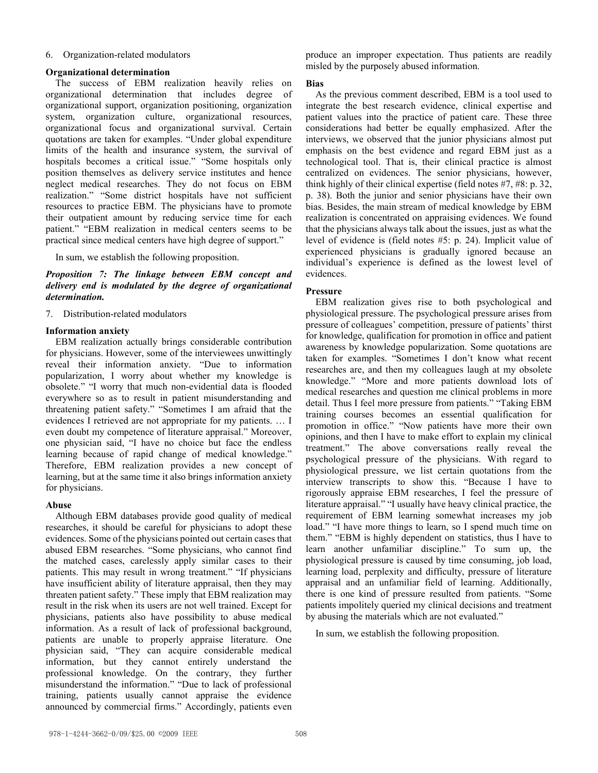## 6. Organization-related modulators

# **Organizational determination**

The success of EBM realization heavily relies on organizational determination that includes degree of organizational support, organization positioning, organization system, organization culture, organizational resources, organizational focus and organizational survival. Certain quotations are taken for examples. "Under global expenditure limits of the health and insurance system, the survival of hospitals becomes a critical issue." "Some hospitals only position themselves as delivery service institutes and hence neglect medical researches. They do not focus on EBM realization." "Some district hospitals have not sufficient resources to practice EBM. The physicians have to promote their outpatient amount by reducing service time for each patient." "EBM realization in medical centers seems to be practical since medical centers have high degree of support."

In sum, we establish the following proposition.

# *Proposition 7: The linkage between EBM concept and delivery end is modulated by the degree of organizational determination.*

# 7. Distribution-related modulators

# **Information anxiety**

EBM realization actually brings considerable contribution for physicians. However, some of the interviewees unwittingly reveal their information anxiety. "Due to information popularization, I worry about whether my knowledge is obsolete." "I worry that much non-evidential data is flooded everywhere so as to result in patient misunderstanding and threatening patient safety." "Sometimes I am afraid that the evidences I retrieved are not appropriate for my patients. … I even doubt my competence of literature appraisal." Moreover, one physician said, "I have no choice but face the endless learning because of rapid change of medical knowledge." Therefore, EBM realization provides a new concept of learning, but at the same time it also brings information anxiety for physicians.

## **Abuse**

Although EBM databases provide good quality of medical researches, it should be careful for physicians to adopt these evidences. Some of the physicians pointed out certain cases that abused EBM researches. "Some physicians, who cannot find the matched cases, carelessly apply similar cases to their patients. This may result in wrong treatment." "If physicians have insufficient ability of literature appraisal, then they may threaten patient safety." These imply that EBM realization may result in the risk when its users are not well trained. Except for physicians, patients also have possibility to abuse medical information. As a result of lack of professional background, patients are unable to properly appraise literature. One physician said, "They can acquire considerable medical information, but they cannot entirely understand the professional knowledge. On the contrary, they further misunderstand the information." "Due to lack of professional training, patients usually cannot appraise the evidence announced by commercial firms." Accordingly, patients even produce an improper expectation. Thus patients are readily misled by the purposely abused information.

# **Bias**

As the previous comment described, EBM is a tool used to integrate the best research evidence, clinical expertise and patient values into the practice of patient care. These three considerations had better be equally emphasized. After the interviews, we observed that the junior physicians almost put emphasis on the best evidence and regard EBM just as a technological tool. That is, their clinical practice is almost centralized on evidences. The senior physicians, however, think highly of their clinical expertise (field notes #7, #8: p. 32, p. 38). Both the junior and senior physicians have their own bias. Besides, the main stream of medical knowledge by EBM realization is concentrated on appraising evidences. We found that the physicians always talk about the issues, just as what the level of evidence is (field notes #5: p. 24). Implicit value of experienced physicians is gradually ignored because an individual's experience is defined as the lowest level of evidences.

# **Pressure**

EBM realization gives rise to both psychological and physiological pressure. The psychological pressure arises from pressure of colleagues' competition, pressure of patients' thirst for knowledge, qualification for promotion in office and patient awareness by knowledge popularization. Some quotations are taken for examples. "Sometimes I don't know what recent researches are, and then my colleagues laugh at my obsolete knowledge." "More and more patients download lots of medical researches and question me clinical problems in more detail. Thus I feel more pressure from patients." "Taking EBM training courses becomes an essential qualification for promotion in office." "Now patients have more their own opinions, and then I have to make effort to explain my clinical treatment." The above conversations really reveal the psychological pressure of the physicians. With regard to physiological pressure, we list certain quotations from the interview transcripts to show this. "Because I have to rigorously appraise EBM researches, I feel the pressure of literature appraisal." "I usually have heavy clinical practice, the requirement of EBM learning somewhat increases my job load." "I have more things to learn, so I spend much time on them." "EBM is highly dependent on statistics, thus I have to learn another unfamiliar discipline." To sum up, the physiological pressure is caused by time consuming, job load, learning load, perplexity and difficulty, pressure of literature appraisal and an unfamiliar field of learning. Additionally, there is one kind of pressure resulted from patients. "Some patients impolitely queried my clinical decisions and treatment by abusing the materials which are not evaluated."

In sum, we establish the following proposition.